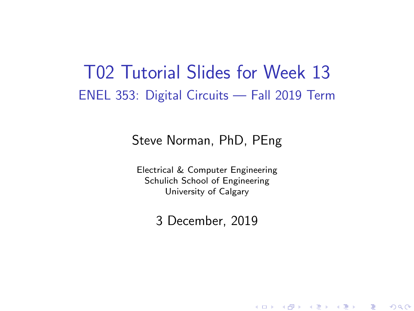### T02 Tutorial Slides for Week 13 ENEL 353: Digital Circuits — Fall 2019 Term

#### Steve Norman, PhD, PEng

Electrical & Computer Engineering Schulich School of Engineering University of Calgary

3 December, 2019

《 ロ 》 《 御 》 《 君 》 《 君 》 《 君

 $\Omega$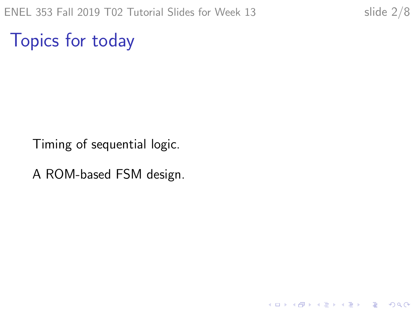K ロ ▶ K @ ▶ K 할 ▶ K 할 ▶ 이 할 → 9 Q @

Topics for today

Timing of sequential logic.

A ROM-based FSM design.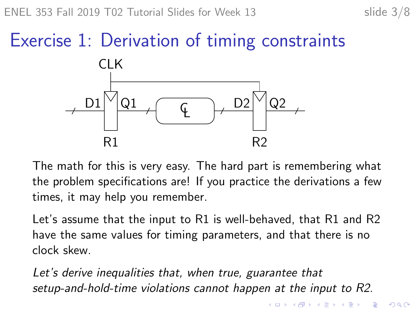# Exercise 1: Derivation of timing constraints



The math for this is very easy. The hard part is remembering what the problem specifications are! If you practice the derivations a few times, it may help you remember.

Let's assume that the input to R1 is well-behaved, that R1 and R2 have the same values for timing parameters, and that there is no clock skew.

Let's derive inequalities that, when true, guarantee that setup-and-hold-time violations cannot happen at the input to R2.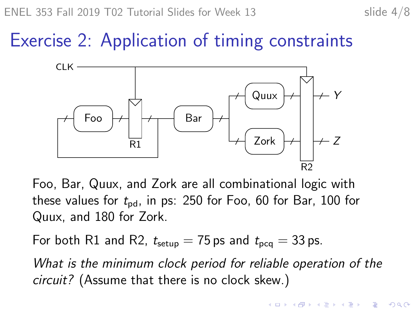## Exercise 2: Application of timing constraints



Foo, Bar, Quux, and Zork are all combinational logic with these values for  $t_{pd}$ , in ps: 250 for Foo, 60 for Bar, 100 for Quux, and 180 for Zork.

For both R1 and R2,  $t_{\text{setup}} = 75$  ps and  $t_{\text{pca}} = 33$  ps.

What is the minimum clock period for reliable operation of the circuit? (Assume that there is no clock skew.)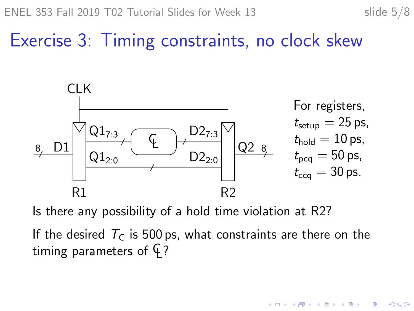Exercise 3: Timing constraints, no clock skew



Is there any possibility of a hold time violation at R2?

If the desired  $T_c$  is 500 ps, what constraints are there on the timing parameters of  $\varphi$ ?

 $\mathbf{A} \equiv \mathbf{A} + \mathbf{A} + \mathbf{B} + \mathbf{A} + \mathbf{B} + \mathbf{A} + \mathbf{B} + \mathbf{A} + \mathbf{B} + \mathbf{A} + \mathbf{B} + \mathbf{A} + \mathbf{B} + \mathbf{A} + \mathbf{B} + \mathbf{A} + \mathbf{B} + \mathbf{A} + \mathbf{B} + \mathbf{A} + \mathbf{B} + \mathbf{A} + \mathbf{B} + \mathbf{A} + \mathbf{B} + \mathbf{A} + \mathbf{B} + \mathbf{A} + \mathbf{B} + \mathbf{A} + \math$ 

 $2990$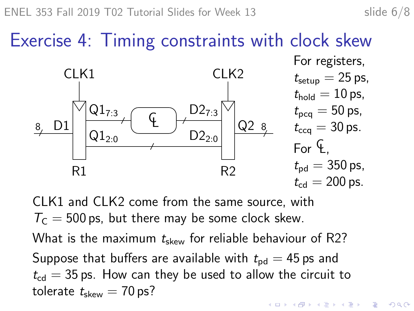Exercise 4: Timing constraints with clock skew  $D2_{7.3}$  $D2_{2:0}$  $Q1_{7:3}$  $\mathsf{Q1}_{2:0}$ CL CLK1 CLK2 R1 R2 8 D1 Q2 8 For registers,  $t_{\text{setup}} = 25$  ps,  $t_{hold} = 10$  ps,  $t_{\text{pcq}} = 50 \text{ ps}$ ,  $t_{\rm cca} = 30$  ps. For  $\mathsf{G}$  $t_{\rm{pd}} = 350 \,\rm{ps}$ ,  $t_{\rm cd} = 200$  ps.

CLK1 and CLK2 come from the same source, with  $T<sub>C</sub> = 500$  ps, but there may be some clock skew. What is the maximum  $t_{\text{skew}}$  for reliable behaviour of R2? Suppose that buffers are available with  $t_{\rm pd} = 45$  ps and  $t_{\rm cd} = 35$  ps. How can they be used to allow the circuit to tolerate  $t_{\text{skew}} = 70 \text{ ps?}$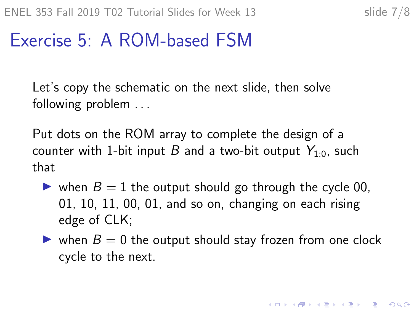## Exercise 5: A ROM-based FSM

Let's copy the schematic on the next slide, then solve following problem ...

Put dots on the ROM array to complete the design of a counter with 1-bit input B and a two-bit output  $Y_{1:0}$ , such that

- ightharpoonup when  $B = 1$  the output should go through the cycle 00. 01, 10, 11, 00, 01, and so on, changing on each rising edge of CLK;
- $\triangleright$  when  $B = 0$  the output should stay frozen from one clock cycle to the next.